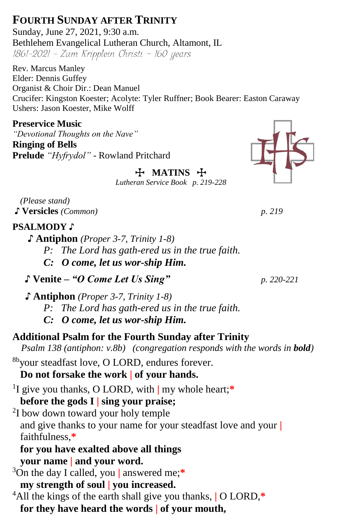# **FOURTH SUNDAY AFTER TRINITY**

Sunday, June 27, 2021, 9:30 a.m. Bethlehem Evangelical Lutheran Church, Altamont, IL 1861-2021 - Zum Kripplein Christi - 160 years

Rev. Marcus Manley Elder: Dennis Guffey Organist & Choir Dir.: Dean Manuel Crucifer: Kingston Koester; Acolyte: Tyler Ruffner; Book Bearer: Easton Caraway Ushers: Jason Koester, Mike Wolff

**Preservice Music** *"Devotional Thoughts on the Nave"* **Ringing of Bells**

**Prelude** *"Hyfrydol"* - Rowland Pritchard T **MATINS** T

*Lutheran Service Book p. 219-228*

*(Please stand)* ♪ **Versicles** *(Common) p. 219* 

## **PSALMODY** ♪

 **♪ Antiphon** *(Proper 3-7, Trinity 1-8)*

*P: The Lord has gath-ered us in the true faith.*

*C: O come, let us wor-ship Him.*

♪ **Venite –** *"O Come Let Us Sing" p. 220-221*

**♪ Antiphon** *(Proper 3-7, Trinity 1-8) P: The Lord has gath-ered us in the true faith. C: O come, let us wor-ship Him.*

## **Additional Psalm for the Fourth Sunday after Trinity**

*Psalm 138 (antiphon: v.8b) (congregation responds with the words in bold)*

8byour steadfast love, O LORD, endures forever.

## **Do not forsake the work | of your hands.**

1 I give you thanks, O LORD, with **|** my whole heart;**\* before the gods I | sing your praise;**

<sup>2</sup>I bow down toward your holy temple and give thanks to your name for your steadfast love and your **|** faithfulness,**\***

**for you have exalted above all things your name | and your word.**

<sup>3</sup>On the day I called, you **|** answered me;**\* my strength of soul | you increased.**

<sup>4</sup>All the kings of the earth shall give you thanks, **|** O LORD,**\* for they have heard the words | of your mouth,**

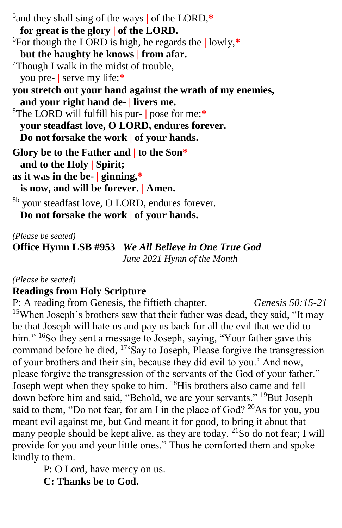5 and they shall sing of the ways **|** of the LORD,**\* for great is the glory | of the LORD.** <sup>6</sup>For though the LORD is high, he regards the **|** lowly,**\* but the haughty he knows | from afar.** <sup>7</sup>Though I walk in the midst of trouble, you pre- **|** serve my life;**\* you stretch out your hand against the wrath of my enemies, and your right hand de- | livers me.** <sup>8</sup>The LORD will fulfill his pur- **|** pose for me;**\* your steadfast love, O LORD, endures forever. Do not forsake the work | of your hands. Glory be to the Father and | to the Son\* and to the Holy | Spirit; as it was in the be- | ginning,\* is now, and will be forever. | Amen.** <sup>8b</sup> your steadfast love, O LORD, endures forever. **Do not forsake the work | of your hands.**

*(Please be seated)*

**Office Hymn LSB #953** *We All Believe in One True God June 2021 Hymn of the Month*

#### *(Please be seated)*

## **Readings from Holy Scripture**

P: A reading from Genesis, the fiftieth chapter.*Genesis 50:15-21* <sup>15</sup>When Joseph's brothers saw that their father was dead, they said, "It may be that Joseph will hate us and pay us back for all the evil that we did to him." <sup>16</sup>So they sent a message to Joseph, saying, "Your father gave this command before he died,  $17.5$ ay to Joseph, Please forgive the transgression of your brothers and their sin, because they did evil to you.' And now, please forgive the transgression of the servants of the God of your father." Joseph wept when they spoke to him. <sup>18</sup>His brothers also came and fell down before him and said, "Behold, we are your servants." <sup>19</sup>But Joseph said to them, "Do not fear, for am I in the place of God?  $^{20}$ As for you, you meant evil against me, but God meant it for good, to bring it about that many people should be kept alive, as they are today.  $^{21}$ So do not fear; I will provide for you and your little ones." Thus he comforted them and spoke kindly to them.

P: O Lord, have mercy on us.

**C: Thanks be to God.**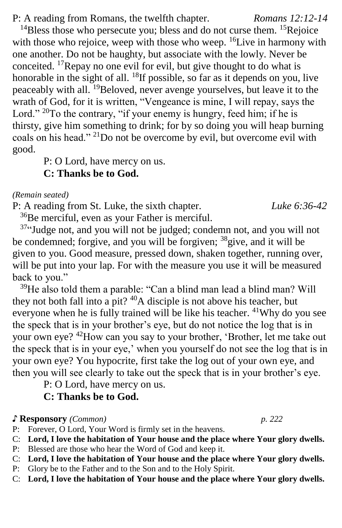P: A reading from Romans, the twelfth chapter. *Romans 12:12-14*

<sup>14</sup>Bless those who persecute you; bless and do not curse them. <sup>15</sup>Rejoice with those who rejoice, weep with those who weep.  ${}^{16}$ Live in harmony with one another. Do not be haughty, but associate with the lowly. Never be conceited. <sup>17</sup>Repay no one evil for evil, but give thought to do what is honorable in the sight of all.  $^{18}$ If possible, so far as it depends on you, live peaceably with all. <sup>19</sup>Beloved, never avenge yourselves, but leave it to the wrath of God, for it is written, "Vengeance is mine, I will repay, says the Lord."  $^{20}$ To the contrary, "if your enemy is hungry, feed him; if he is thirsty, give him something to drink; for by so doing you will heap burning coals on his head." <sup>21</sup>Do not be overcome by evil, but overcome evil with good.

P: O Lord, have mercy on us.

## **C: Thanks be to God.**

#### *(Remain seated)*

P: A reading from St. Luke, the sixth chapter. *Luke 6:36-42*

<sup>36</sup>Be merciful, even as your Father is merciful.

<sup>37</sup>"Judge not, and you will not be judged; condemn not, and you will not be condemned; forgive, and you will be forgiven; <sup>38</sup>give, and it will be given to you. Good measure, pressed down, shaken together, running over, will be put into your lap. For with the measure you use it will be measured back to you."

<sup>39</sup>He also told them a parable: "Can a blind man lead a blind man? Will they not both fall into a pit?  $40A$  disciple is not above his teacher, but everyone when he is fully trained will be like his teacher. <sup>41</sup>Why do you see the speck that is in your brother's eye, but do not notice the log that is in your own eye? <sup>42</sup>How can you say to your brother, 'Brother, let me take out the speck that is in your eye,' when you yourself do not see the log that is in your own eye? You hypocrite, first take the log out of your own eye, and then you will see clearly to take out the speck that is in your brother's eye.

P: O Lord, have mercy on us.

### **C: Thanks be to God.**

#### ♪ **Responsory** *(Common) p. 222*

P: Forever, O Lord, Your Word is firmly set in the heavens.

- C: **Lord, I love the habitation of Your house and the place where Your glory dwells.**
- P: Blessed are those who hear the Word of God and keep it.
- C: **Lord, I love the habitation of Your house and the place where Your glory dwells.** P: Glory be to the Father and to the Son and to the Holy Spirit.
- C: **Lord, I love the habitation of Your house and the place where Your glory dwells.**